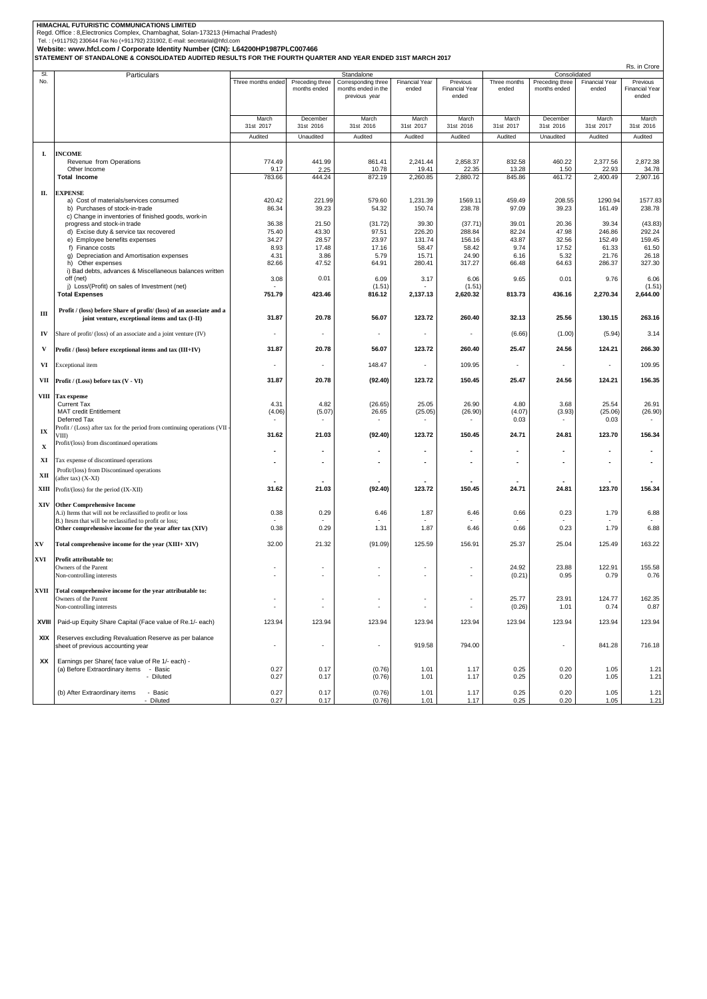HIMACHAL FUTURISTIC COMMUNICATIONS LIMITED<br>Reg.d. Office : 8,Electronics Complex, Chambaghat, Solan-173213 (Himachal Pradesh)<br>Tel. : (+911792) 230644 Fax No (+911792) 231902, E-mail: secretarial@hfcl.com<br>Website: www.hfcl

| SI.         | Particulars                                                              | Standalone               |                          |                                      |                          | Consolidated                   |              |                          |                       |                                |
|-------------|--------------------------------------------------------------------------|--------------------------|--------------------------|--------------------------------------|--------------------------|--------------------------------|--------------|--------------------------|-----------------------|--------------------------------|
| No.         |                                                                          | Three months ended       | Preceding three          | Corresponding three                  | <b>Financial Year</b>    | Previous                       | Three months | Preceding three          | <b>Financial Year</b> | Previous                       |
|             |                                                                          |                          | months ended             | months ended in the<br>previous year | ended                    | <b>Financial Year</b><br>ended | ended        | months ended             | ended                 | <b>Financial Year</b><br>ended |
|             |                                                                          |                          |                          |                                      |                          |                                |              |                          |                       |                                |
|             |                                                                          |                          |                          |                                      |                          |                                |              |                          |                       |                                |
|             |                                                                          | March                    | December                 | March                                | March                    | March                          | March        | December                 | March                 | March                          |
|             |                                                                          | 31st 2017                | 31st 2016                | 31st 2016                            | 31st 2017                | 31st 2016                      | 31st 2017    | 31st 2016                | 31st 2017             | 31st 2016                      |
|             |                                                                          | Audited                  | Unaudited                | Audited                              | Audited                  | Audited                        | Audited      | Unaudited                | Audited               | Audited                        |
|             |                                                                          |                          |                          |                                      |                          |                                |              |                          |                       |                                |
|             | <b>INCOME</b>                                                            |                          |                          |                                      |                          |                                |              |                          |                       |                                |
| L.          | Revenue from Operations                                                  | 774.49                   | 441.99                   | 861.41                               | 2,241.44                 | 2,858.37                       | 832.58       | 460.22                   | 2,377.56              | 2,872.38                       |
|             | Other Income                                                             | 9.17                     | 2.25                     | 10.78                                | 19.41                    | 22.35                          | 13.28        | 1.50                     | 22.93                 | 34.78                          |
|             | <b>Total Income</b>                                                      | 783.66                   | 444.24                   | 872.19                               | 2,260.85                 | 2,880.72                       | 845.86       | 461.72                   | 2,400.49              | 2,907.16                       |
|             |                                                                          |                          |                          |                                      |                          |                                |              |                          |                       |                                |
| П.          | <b>EXPENSE</b>                                                           |                          |                          |                                      |                          |                                |              |                          |                       |                                |
|             | a) Cost of materials/services consumed                                   | 420.42                   | 221.99                   | 579.60                               | 1,231.39                 | 1569.11                        | 459.49       | 208.55                   | 1290.94               | 1577.83                        |
|             | b) Purchases of stock-in-trade                                           | 86.34                    | 39.23                    | 54.32                                | 150.74                   | 238.78                         | 97.09        | 39.23                    | 161.49                | 238.78                         |
|             | c) Change in inventories of finished goods, work-in                      |                          |                          |                                      |                          |                                |              |                          |                       |                                |
|             | progress and stock-in trade                                              | 36.38                    | 21.50                    | (31.72)                              | 39.30                    | (37.71)                        | 39.01        | 20.36                    | 39.34                 | (43.83)                        |
|             | d) Excise duty & service tax recovered                                   | 75.40                    | 43.30                    | 97.51                                | 226.20                   | 288.84                         | 82.24        | 47.98                    | 246.86                | 292.24                         |
|             | e) Employee benefits expenses                                            | 34.27                    | 28.57                    | 23.97                                | 131.74                   | 156.16                         | 43.87        | 32.56                    | 152.49                | 159.45                         |
|             | f) Finance costs                                                         | 8.93                     | 17.48                    | 17.16                                | 58.47                    | 58.42                          | 9.74         | 17.52                    | 61.33                 | 61.50                          |
|             | g) Depreciation and Amortisation expenses                                | 4.31                     | 3.86                     | 5.79                                 | 15.71                    | 24.90                          | 6.16         | 5.32                     | 21.76                 | 26.18                          |
|             | h) Other expenses                                                        | 82.66                    | 47.52                    | 64.91                                | 280.41                   | 317.27                         | 66.48        | 64.63                    | 286.37                | 327.30                         |
|             | i) Bad debts, advances & Miscellaneous balances written                  |                          |                          |                                      |                          |                                |              |                          |                       |                                |
|             | off (net)                                                                | 3.08                     | 0.01                     | 6.09                                 | 3.17                     | 6.06                           | 9.65         | 0.01                     | 9.76                  | 6.06                           |
|             | j) Loss/(Profit) on sales of Investment (net)                            |                          |                          | (1.51)                               |                          | (1.51)                         |              |                          |                       | (1.51)                         |
|             | <b>Total Expenses</b>                                                    | 751.79                   | 423.46                   | 816.12                               | 2,137.13                 | 2,620.32                       | 813.73       | 436.16                   | 2,270.34              | 2,644.00                       |
|             |                                                                          |                          |                          |                                      |                          |                                |              |                          |                       |                                |
|             | Profit / (loss) before Share of profit/ (loss) of an associate and a     |                          |                          |                                      |                          |                                |              |                          |                       |                                |
| Ш           | joint venture, exceptional items and tax (I-II)                          | 31.87                    | 20.78                    | 56.07                                | 123.72                   | 260.40                         | 32.13        | 25.56                    | 130.15                | 263.16                         |
|             |                                                                          |                          |                          |                                      |                          |                                |              |                          |                       |                                |
| IV          | Share of profit/ (loss) of an associate and a joint venture (IV)         |                          | $\overline{\phantom{a}}$ |                                      |                          |                                | (6.66)       | (1.00)                   | (5.94)                | 3.14                           |
|             |                                                                          |                          |                          |                                      |                          |                                |              |                          |                       |                                |
| V           | Profit / (loss) before exceptional items and tax (III+IV)                | 31.87                    | 20.78                    | 56.07                                | 123.72                   | 260.40                         | 25.47        | 24.56                    | 124.21                | 266.30                         |
|             |                                                                          |                          |                          |                                      |                          |                                |              |                          |                       |                                |
| VI          | Exceptional item                                                         |                          | ٠                        | 148.47                               | ٠                        | 109.95                         |              |                          |                       | 109.95                         |
|             |                                                                          |                          |                          |                                      |                          |                                |              |                          |                       |                                |
| VII         | Profit / (Loss) before tax (V - VI)                                      | 31.87                    | 20.78                    | (92.40)                              | 123.72                   | 150.45                         | 25.47        | 24.56                    | 124.21                | 156.35                         |
|             |                                                                          |                          |                          |                                      |                          |                                |              |                          |                       |                                |
| VШ          | Tax expense                                                              |                          |                          |                                      |                          |                                |              |                          |                       |                                |
|             | <b>Current Tax</b>                                                       | 4.31                     | 4.82                     | (26.65)                              | 25.05                    | 26.90                          | 4.80         | 3.68                     | 25.54                 | 26.91                          |
|             | <b>MAT credit Entitlement</b>                                            | (4.06)                   | (5.07)                   | 26.65                                | (25.05)                  | (26.90)                        | (4.07)       | (3.93)                   | (25.06)               | (26.90)                        |
|             | Deferred Tax                                                             |                          |                          |                                      |                          |                                | 0.03         |                          | 0.03                  |                                |
| IX          | Profit / (Loss) after tax for the period from continuing operations (VII |                          |                          |                                      |                          |                                |              |                          |                       |                                |
|             | VIII)                                                                    | 31.62                    | 21.03                    | (92.40)                              | 123.72                   | 150.45                         | 24.71        | 24.81                    | 123.70                | 156.34                         |
| $\mathbf x$ | Profit/(loss) from discontinued operations                               |                          |                          |                                      |                          |                                |              |                          |                       |                                |
|             |                                                                          |                          |                          |                                      |                          |                                |              |                          |                       |                                |
| XI          | Tax expense of discontinued operations                                   |                          | ٠                        |                                      |                          |                                |              |                          |                       |                                |
|             | Profit/(loss) from Discontinued operations                               |                          |                          |                                      |                          |                                |              |                          |                       |                                |
| XII         | (after tax) (X-XI)                                                       |                          |                          |                                      |                          |                                |              |                          |                       |                                |
| XШ          | Profit/(loss) for the period (IX-XII)                                    | 31.62                    | 21.03                    | (92.40)                              | 123.72                   | 150.45                         | 24.71        | 24.81                    | 123.70                | 156.34                         |
|             |                                                                          |                          |                          |                                      |                          |                                |              |                          |                       |                                |
| XIV         | <b>Other Comprehensive Income</b>                                        |                          |                          |                                      |                          |                                |              |                          |                       |                                |
|             | A.i) Items that will not be reclassified to profit or loss               | 0.38                     | 0.29                     | 6.46                                 | 1.87                     | 6.46                           | 0.66         | 0.23                     | 1.79                  | 6.88                           |
|             | B.) Itesm that will be reclassified to profit or loss;                   |                          |                          |                                      |                          |                                |              |                          |                       |                                |
|             | Other comprehensive income for the year after tax (XIV)                  | 0.38                     | 0.29                     | 1.31                                 | 1.87                     | 6.46                           | 0.66         | 0.23                     | 1.79                  | 6.88                           |
|             |                                                                          |                          |                          |                                      |                          |                                |              |                          |                       |                                |
| XV          | Total comprehensive income for the year (XIII+ XIV)                      | 32.00                    | 21.32                    | (91.09)                              | 125.59                   | 156.91                         | 25.37        | 25.04                    | 125.49                | 163.22                         |
|             |                                                                          |                          |                          |                                      |                          |                                |              |                          |                       |                                |
| XVI         | Profit attributable to:                                                  |                          |                          |                                      |                          |                                |              |                          |                       |                                |
|             | Owners of the Parent                                                     |                          | ٠                        |                                      |                          |                                | 24.92        | 23.88                    | 122.91                | 155.58                         |
|             | Non-controlling interests                                                |                          | $\overline{\phantom{a}}$ |                                      |                          |                                | (0.21)       | 0.95                     | 0.79                  | 0.76                           |
|             |                                                                          |                          |                          |                                      |                          |                                |              |                          |                       |                                |
| XVII        | Total comprehensive income for the year attributable to:                 |                          |                          |                                      |                          |                                |              |                          |                       |                                |
|             | Owners of the Parent                                                     |                          |                          |                                      |                          |                                | 25.77        | 23.91                    | 124.77                | 162.35                         |
|             | Non-controlling interests                                                | $\overline{\phantom{a}}$ | $\overline{\phantom{a}}$ | ٠                                    | $\overline{\phantom{a}}$ | ٠                              | (0.26)       | 1.01                     | 0.74                  | 0.87                           |
|             |                                                                          |                          |                          |                                      |                          |                                |              |                          |                       |                                |
| XVIII       | Paid-up Equity Share Capital (Face value of Re.1/- each)                 | 123.94                   | 123.94                   | 123.94                               | 123.94                   | 123.94                         | 123.94       | 123.94                   | 123.94                | 123.94                         |
|             |                                                                          |                          |                          |                                      |                          |                                |              |                          |                       |                                |
| XIX         | Reserves excluding Revaluation Reserve as per balance                    |                          |                          |                                      |                          |                                |              |                          |                       |                                |
|             | sheet of previous accounting year                                        | $\overline{\phantom{a}}$ | $\overline{\phantom{a}}$ | $\overline{\phantom{a}}$             | 919.58                   | 794.00                         |              | $\overline{\phantom{a}}$ | 841.28                | 716.18                         |
|             |                                                                          |                          |                          |                                      |                          |                                |              |                          |                       |                                |
| хx          | Earnings per Share( face value of Re 1/- each) -                         |                          |                          |                                      |                          |                                |              |                          |                       |                                |
|             | (a) Before Extraordinary items - Basic                                   | 0.27                     | 0.17                     | (0.76)                               | 1.01                     | 1.17                           | 0.25         | 0.20                     | 1.05                  | 1.21                           |
|             | - Diluted                                                                | 0.27                     | 0.17                     | (0.76)                               | 1.01                     | 1.17                           | 0.25         | 0.20                     | 1.05                  | 1.21                           |
|             |                                                                          |                          |                          |                                      |                          |                                |              |                          |                       |                                |
|             | (b) After Extraordinary items<br>- Basic                                 | 0.27                     | 0.17                     | (0.76)                               | 1.01                     | 1.17                           | 0.25         | 0.20                     | 1.05                  | 1.21                           |
|             | - Diluted                                                                | 0.27                     | 0.17                     | (0.76)                               | 1.01                     | 1.17                           | 0.25         | 0.20                     | 1.05                  | 1.21                           |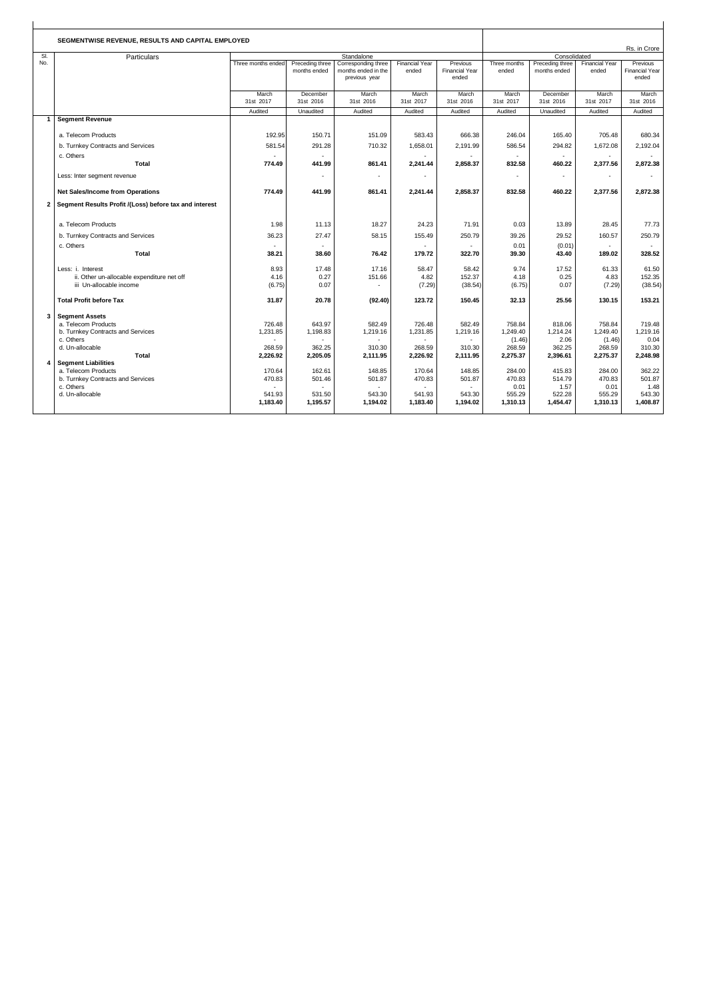| SEGMENTWISE REVENUE, RESULTS AND CAPITAL EMPLOYED |                                                        |                    |                          |                     |                |                       | Rs. in Crore             |                 |                       |                       |
|---------------------------------------------------|--------------------------------------------------------|--------------------|--------------------------|---------------------|----------------|-----------------------|--------------------------|-----------------|-----------------------|-----------------------|
| SI.                                               | Particulars                                            | Standalone         |                          |                     |                |                       |                          | Consolidated    |                       |                       |
| No.                                               |                                                        | Three months ended | Preceding three          | Corresponding three | Financial Year | Previous              | Three months             | Preceding three | <b>Financial Year</b> | Previous              |
|                                                   |                                                        |                    | months ended             | months ended in the | ended          | <b>Financial Year</b> | ended                    | months ended    | ended                 | <b>Financial Year</b> |
|                                                   |                                                        |                    |                          | previous year       |                | ended                 |                          |                 |                       | ended                 |
|                                                   |                                                        |                    |                          |                     |                |                       |                          |                 |                       |                       |
|                                                   |                                                        | March              | December                 | March               | March          | March                 | March                    | December        | March                 | March                 |
|                                                   |                                                        | 31st 2017          | 31st 2016                | 31st 2016           | 31st 2017      | 31st 2016             | 31st 2017                | 31st 2016       | 31st 2017             | 31st 2016             |
|                                                   |                                                        | Audited            | Unaudited                | Audited             | Audited        | Audited               | Audited                  | Unaudited       | Audited               | Audited               |
|                                                   | <b>Segment Revenue</b>                                 |                    |                          |                     |                |                       |                          |                 |                       |                       |
|                                                   | a. Telecom Products                                    | 192.95             | 150.71                   | 151.09              | 583.43         | 666.38                | 246.04                   | 165.40          | 705.48                | 680.34                |
|                                                   | b. Turnkey Contracts and Services                      | 581.54             | 291.28                   | 710.32              | 1,658.01       | 2,191.99              | 586.54                   | 294.82          | 1,672.08              | 2,192.04              |
|                                                   | c. Others                                              |                    |                          |                     |                |                       |                          |                 |                       |                       |
|                                                   | <b>Total</b>                                           | 774.49             | 441.99                   | 861.41              | 2,241.44       | 2,858.37              | 832.58                   | 460.22          | 2,377.56              | 2,872.38              |
|                                                   | Less: Inter segment revenue                            |                    | $\overline{\phantom{a}}$ | $\sim$              |                |                       | $\overline{\phantom{a}}$ | $\sim$          | ٠                     |                       |
|                                                   | <b>Net Sales/Income from Operations</b>                | 774.49             | 441.99                   | 861.41              | 2,241.44       | 2,858.37              | 832.58                   | 460.22          | 2,377.56              | 2,872.38              |
| $\mathbf{2}$                                      | Segment Results Profit /(Loss) before tax and interest |                    |                          |                     |                |                       |                          |                 |                       |                       |
|                                                   |                                                        |                    |                          |                     |                |                       |                          |                 |                       |                       |
|                                                   | a. Telecom Products                                    | 1.98               | 11.13                    | 18.27               | 24.23          | 71.91                 | 0.03                     | 13.89           | 28.45                 | 77.73                 |
|                                                   | b. Turnkey Contracts and Services                      | 36.23              | 27.47                    | 58.15               | 155.49         | 250.79                | 39.26                    | 29.52           | 160.57                | 250.79                |
|                                                   | c. Others                                              |                    |                          |                     |                |                       | 0.01                     | (0.01)          | $\mathbf{r}$          |                       |
|                                                   | <b>Total</b>                                           | 38.21              | 38.60                    | 76.42               | 179.72         | 322.70                | 39.30                    | 43.40           | 189.02                | 328.52                |
|                                                   | Less: i. Interest                                      | 8.93               | 17.48                    | 17.16               | 58.47          | 58.42                 | 9.74                     | 17.52           | 61.33                 | 61.50                 |
|                                                   | ii. Other un-allocable expenditure net off             | 4.16               | 0.27                     | 151.66              | 4.82           | 152.37                | 4.18                     | 0.25            | 4.83                  | 152.35                |
|                                                   | iii Un-allocable income                                | (6.75)             | 0.07                     | $\sim$              | (7.29)         | (38.54)               | (6.75)                   | 0.07            | (7.29)                | (38.54)               |
|                                                   |                                                        |                    |                          |                     |                |                       |                          |                 |                       |                       |
|                                                   | <b>Total Profit before Tax</b>                         | 31.87              | 20.78                    | (92.40)             | 123.72         | 150.45                | 32.13                    | 25.56           | 130.15                | 153.21                |
| 3                                                 | <b>Segment Assets</b>                                  |                    |                          |                     |                |                       |                          |                 |                       |                       |
|                                                   | a. Telecom Products                                    | 726.48             | 643.97                   | 582.49              | 726.48         | 582.49                | 758.84                   | 818.06          | 758.84                | 719.48                |
|                                                   | b. Turnkey Contracts and Services                      | 1,231.85           | 1,198.83                 | 1,219.16            | 1,231.85       | 1,219.16              | 1,249.40                 | 1,214.24        | 1,249.40              | 1,219.16              |
|                                                   | c. Others                                              | ۰.                 |                          | $\sim$              | $\mathbf{r}$   | ÷.                    | (1.46)                   | 2.06            | (1.46)                | 0.04                  |
|                                                   | d. Un-allocable                                        | 268.59             | 362.25                   | 310.30              | 268.59         | 310.30                | 268.59                   | 362.25          | 268.59                | 310.30                |
|                                                   | <b>Total</b>                                           | 2.226.92           | 2.205.05                 | 2.111.95            | 2,226.92       | 2.111.95              | 2,275.37                 | 2,396.61        | 2,275.37              | 2,248.98              |
|                                                   | <b>Segment Liabilities</b>                             |                    |                          |                     |                |                       |                          |                 |                       |                       |
|                                                   | a. Telecom Products                                    | 170.64             | 162.61                   | 148.85              | 170.64         | 148.85                | 284.00                   | 415.83          | 284.00                | 362.22                |
|                                                   | b. Turnkey Contracts and Services                      | 470.83             | 501.46                   | 501.87              | 470.83         | 501.87                | 470.83                   | 514.79          | 470.83                | 501.87                |
|                                                   | c. Others                                              |                    |                          |                     |                |                       | 0.01                     | 1.57            | 0.01                  | 1.48                  |
|                                                   | d. Un-allocable                                        | 541.93             | 531.50                   | 543.30              | 541.93         | 543.30                | 555.29                   | 522.28          | 555.29                | 543.30                |
|                                                   |                                                        | 1,183.40           | 1,195.57                 | 1,194.02            | 1,183.40       | 1,194.02              | 1,310.13                 | 1,454.47        | 1,310.13              | 1,408.87              |
|                                                   |                                                        |                    |                          |                     |                |                       |                          |                 |                       |                       |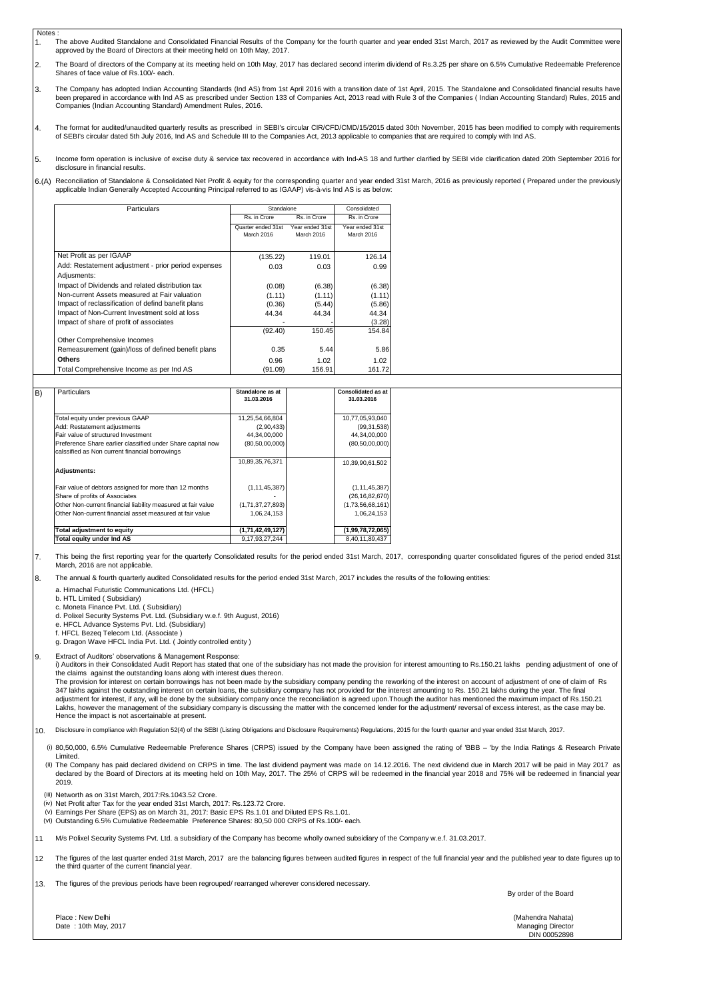- Notes : 1. The above Audited Standalone and Consolidated Financial Results of the Company for the fourth quarter and year ended 31st March, 2017 as reviewed by the Audit Committee were approved by the Board of Directors at their meeting held on 10th May, 2017.
- $\mathfrak{p}$ The Board of directors of the Company at its meeting held on 10th May, 2017 has declared second interim dividend of Rs.3.25 per share on 6.5% Cumulative Redeemable Preference Shares of face value of Rs.100/- each.
- 3. The Company has adopted Indian Accounting Standards (Ind AS) from 1st April 2016 with a transition date of 1st April, 2015. The Standalone and Consolidated financial results have<br>been prepared in accordance with Ind AS as Companies (Indian Accounting Standard) Amendment Rules, 2016.
- 4. The format for audited/unaudited quarterly results as prescribed in SEBI's circular CIR/CFD/CMD/15/2015 dated 30th November, 2015 has been modified to comply with requirements of SEBI's circular dated 5th July 2016, Ind AS and Schedule III to the Companies Act, 2013 applicable to companies that are required to comply with Ind AS.
- 5. Income form operation is inclusive of excise duty & service tax recovered in accordance with Ind-AS 18 and further clarified by SEBI vide clarification dated 20th September 2016 for disclosure in financial results.

## 6.(A) Reconciliation of Standalone & Consolidated Net Profit & equity for the corresponding quarter and year ended 31st March, 2016 as previously reported ( Prepared under the previously applicable Indian Generally Accepted Accounting Principal referred to as IGAAP) vis-à-vis Ind AS is as below:

| Particulars                                                        | Standalone                       |                               | Consolidated                  |
|--------------------------------------------------------------------|----------------------------------|-------------------------------|-------------------------------|
|                                                                    | Rs. in Crore                     | Rs. in Crore                  | Rs. in Crore                  |
|                                                                    | Quarter ended 31st<br>March 2016 | Year ended 31st<br>March 2016 | Year ended 31st<br>March 2016 |
| Net Profit as per IGAAP                                            | (135.22)                         | 119.01                        | 126.14                        |
| Add: Restatement adjustment - prior period expenses<br>Adjusments: | 0.03                             | 0.03                          | 0.99                          |
| Impact of Dividends and related distribution tax                   | (0.08)                           | (6.38)                        | (6.38)                        |
| Non-current Assets measured at Fair valuation                      | (1.11)                           | (1.11)                        | (1.11)                        |
| Impact of reclassification of defind banefit plans                 | (0.36)                           | (5.44)                        | (5.86)                        |
| Impact of Non-Current Investment sold at loss                      | 44.34                            | 44.34                         | 44.34                         |
| Impact of share of profit of associates                            |                                  |                               | (3.28)                        |
|                                                                    | (92.40)                          | 150.45                        | 154.84                        |
| Other Comprehensive Incomes                                        |                                  |                               |                               |
| Remeasurement (gain)/loss of defined benefit plans                 | 0.35                             | 5.44                          | 5.86                          |
| <b>Others</b>                                                      | 0.96                             | 1.02                          | 1.02                          |
| Total Comprehensive Income as per Ind AS                           | (91.09)                          | 156.91                        | 161.72                        |

| Particulars                                                                                                   | Standalone as at<br>31.03.2016 | <b>Consolidated as at</b><br>31.03.2016 |
|---------------------------------------------------------------------------------------------------------------|--------------------------------|-----------------------------------------|
|                                                                                                               |                                |                                         |
| Total equity under previous GAAP                                                                              | 11,25,54,66,804                | 10,77,05,93,040                         |
| Add: Restatement adjustments                                                                                  | (2,90,433)                     | (99, 31, 538)                           |
| Fair value of structured Investment                                                                           | 44,34,00,000                   | 44,34,00,000                            |
| Preference Share earlier classified under Share capital now<br>calssified as Non current financial borrowings | (80,50,00,000)                 | (80, 50, 00, 000)                       |
|                                                                                                               | 10,89,35,76,371                | 10,39,90,61,502                         |
| Adjustments:                                                                                                  |                                |                                         |
| Fair value of debtors assigned for more than 12 months                                                        | (1, 11, 45, 387)               | (1, 11, 45, 387)                        |
| Share of profits of Associates                                                                                |                                | (26, 16, 82, 670)                       |
| Other Non-current financial liability measured at fair value                                                  | (1,71,37,27,893)               | (1,73,56,68,161)                        |
| Other Non-current financial asset measured at fair value                                                      | 1,06,24,153                    | 1,06,24,153                             |
| <b>Total adjustment to equity</b>                                                                             | (1,71,42,49,127)               | (1,99,78,72,065)                        |
| Total equity under Ind AS                                                                                     | 9,17,93,27,244                 | 8,40,11,89,437                          |

7. This being the first reporting year for the quarterly Consolidated results for the period ended 31st March, 2017, corresponding quarter consolidated figures of the period ended 31st March, 2016 are not applicable.

The annual & fourth quarterly audited Consolidated results for the period ended 31st March, 2017 includes the results of the following entities:

a. Himachal Futuristic Communications Ltd. (HFCL)

b. HTL Limited ( Subsidiary)

8.

9.

c. Moneta Finance Pvt. Ltd. ( Subsidiary)

d. Polixel Security Systems Pvt. Ltd. (Subsidiary w.e.f. 9th August, 2016)

e. HFCL Advance Systems Pvt. Ltd. (Subsidiary)

f. HFCL Bezeq Telecom Ltd. (Associate ) g. Dragon Wave HFCL India Pvt. Ltd. (Jointly controlled entity)

Extract of Auditors' observations & Management Response: i) Auditors in their Consolidated Audit Report has stated that one of the subsidiary has not made the provision for interest amounting to Rs.150.21 lakhs pending adjustment of one of the claims against the outstanding loans along with interest dues thereon.

The provision for interest on certain borrowings has not been made by the subsidiary company pending the reworking of the interest on account of adjustment of one of claim of Rs 347 lakhs against the outstanding interest on certain loans, the subsidiary company has not provided for the interest amounting to Rs. 150.21 lakhs during the year. The final adjustment for interest, if any, will be done by the subsidiary company once the reconciliation is agreed upon.Though the auditor has mentioned the maximum impact of Rs.150.21 Lakhs, however the management of the subsidiary company is discussing the matter with the concerned lender for the adjustment/ reversal of excess interest, as the case may be. Hence the impact is not ascertainable at present.

10. Disclosure in compliance with Regulation 52(4) of the SEBI (Listing Obligations and Disclosure Requirements) Regulations, 2015 for the fourth quarter and year ended 31st March, 2017.

(i) 80,50,000, 6.5% Cumulative Redeemable Preference Shares (CRPS) issued by the Company have been assigned the rating of 'BBB – 'by the India Ratings & Research Private Limited.

ii) The Company has paid declared dividend on CRPS in time. The last dividend payment was made on 14.12.2016. The next dividend due in March 2017 will be paid in May 2017 as<br>declared by the Board of Directors at its meetin 2019.

(iii) Networth as on 31st March, 2017:Rs.1043.52 Crore.

- (iv) Net Profit after Tax for the year ended 31st March, 2017: Rs.123.72 Crore.
- (v) Earnings Per Share (EPS) as on March 31, 2017: Basic EPS Rs.1.01 and Diluted EPS Rs.1.01.
- (vi) Outstanding 6.5% Cumulative Redeemable Preference Shares: 80,50 000 CRPS of Rs.100/- each.

11 M/s Polixel Security Systems Pvt. Ltd. a subsidiary of the Company has become wholly owned subsidiary of the Company w.e.f. 31.03.2017.

12 The figures of the last quarter ended 31st March, 2017 are the balancing figures between audited figures in respect of the full financial year and the published year to date figures up to the third quarter of the current financial year.

13. The figures of the previous periods have been regrouped/ rearranged wherever considered necessary.

By order of the Board

Place : New Delhi (Mahendra Nahata) Pate : 10th May, 2017<br>
Date : 10th May, 2017<br>
Managing Director

DIN 00052898